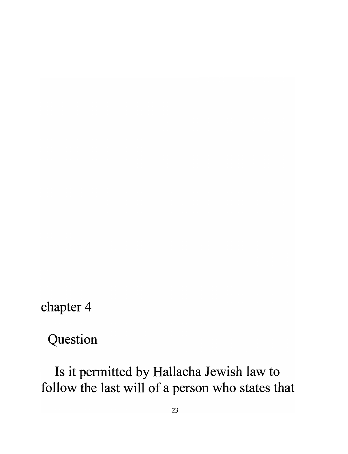chapter 4

Question

Is it permitted by Hallacha Jewish law to follow the last will of a person who states that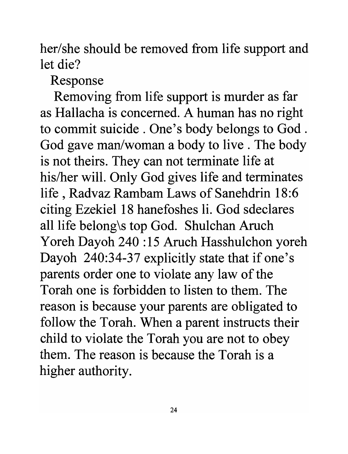her/she should be removed from life support and let die?

Response

Removing from life support is murder as far as Hallacha is concerned. A human has no right to commit suicide . One's body belongs to God . God gave man/woman a body to live. The body is not theirs. They can not terminate life at his/her will. Only God gives life and terminates life, Radvaz Rambam Laws of Sanehdrin 18:6 citing Ezekiel 18 hanefoshes Ii. God sdeclares all life belong\s top God. Shulchan Aruch Y oreh Dayoh 240 : 15 Aruch Hasshulchon yoreh Dayoh 240:34-37 explicitly state that if one's parents order one to violate any law of the Torah one is forbidden to listen to them. The reason is because your parents are obligated to follow the Torah. When a parent instructs their child to violate the Torah you are not to obey them. The reason is because the Torah is a higher authority.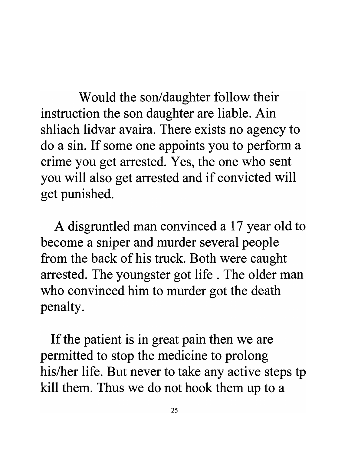Would the son/daughter follow their instruction the son daughter are liable. Ain shliach lidvar avaira. There exists no agency to do a sin. If some one appoints you to perform a crime you get arrested. Yes, the one who sent you will also get arrested and if convicted will get punished.

A disgruntled man convinced a 17 year old to become a sniper and murder several people from the back of his truck. Both were caught arrested. The youngster got life. The older man who convinced him to murder got the death penalty.

If the patient is in great pain then we are permitted to stop the medicine to prolong his/her life. But never to take any active steps tp kill them. Thus we do not hook them up to a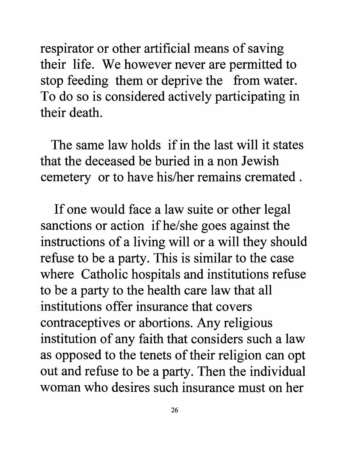respirator or other artificial means of saving their life. We however never are permitted to stop feeding them or deprive the from water. To do so is considered actively participating in their death.

The same law holds if in the last will it states that the deceased be buried in a non Jewish cemetery or to have his/her remains cremated.

If one would face a law suite or other legal sanctions or action ifhe/she goes against the instructions of a living will or a will they should refuse to be a party. This is similar to the case where Catholic hospitals and institutions refuse to be a party to the health care law that all . institutions offer insurance that covers contraceptives or abortions. Any religious institution of any faith that considers such a law as opposed to the tenets of their religion can opt out and refuse to be a party. Then the individual woman who desires such insurance must on her